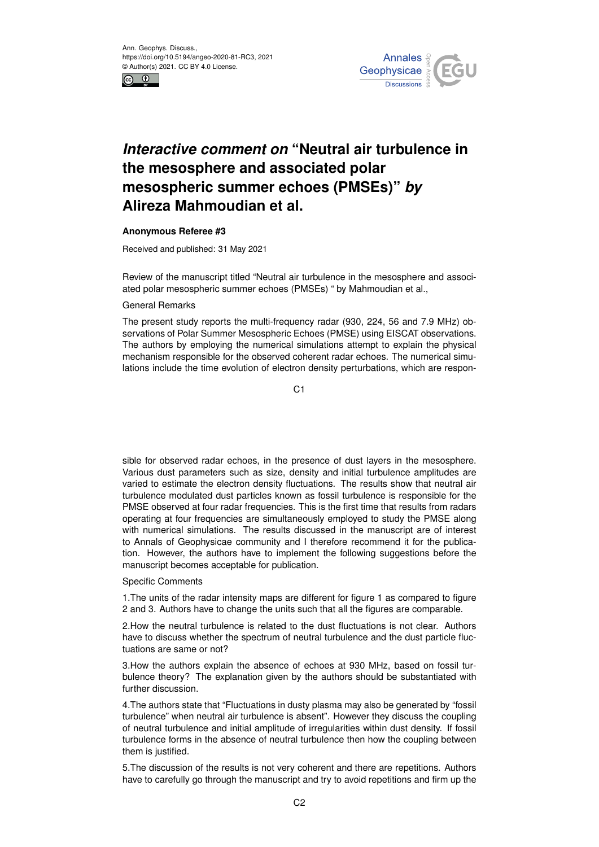



## *Interactive comment on* **"Neutral air turbulence in the mesosphere and associated polar mesospheric summer echoes (PMSEs)"** *by* **Alireza Mahmoudian et al.**

## **Anonymous Referee #3**

Received and published: 31 May 2021

Review of the manuscript titled "Neutral air turbulence in the mesosphere and associated polar mesospheric summer echoes (PMSEs) " by Mahmoudian et al.,

## General Remarks

The present study reports the multi-frequency radar (930, 224, 56 and 7.9 MHz) observations of Polar Summer Mesospheric Echoes (PMSE) using EISCAT observations. The authors by employing the numerical simulations attempt to explain the physical mechanism responsible for the observed coherent radar echoes. The numerical simulations include the time evolution of electron density perturbations, which are respon-

C1

sible for observed radar echoes, in the presence of dust layers in the mesosphere. Various dust parameters such as size, density and initial turbulence amplitudes are varied to estimate the electron density fluctuations. The results show that neutral air turbulence modulated dust particles known as fossil turbulence is responsible for the PMSE observed at four radar frequencies. This is the first time that results from radars operating at four frequencies are simultaneously employed to study the PMSE along with numerical simulations. The results discussed in the manuscript are of interest to Annals of Geophysicae community and I therefore recommend it for the publication. However, the authors have to implement the following suggestions before the manuscript becomes acceptable for publication.

## Specific Comments

1.The units of the radar intensity maps are different for figure 1 as compared to figure 2 and 3. Authors have to change the units such that all the figures are comparable.

2.How the neutral turbulence is related to the dust fluctuations is not clear. Authors have to discuss whether the spectrum of neutral turbulence and the dust particle fluctuations are same or not?

3.How the authors explain the absence of echoes at 930 MHz, based on fossil turbulence theory? The explanation given by the authors should be substantiated with further discussion.

4.The authors state that "Fluctuations in dusty plasma may also be generated by "fossil turbulence" when neutral air turbulence is absent". However they discuss the coupling of neutral turbulence and initial amplitude of irregularities within dust density. If fossil turbulence forms in the absence of neutral turbulence then how the coupling between them is justified.

5.The discussion of the results is not very coherent and there are repetitions. Authors have to carefully go through the manuscript and try to avoid repetitions and firm up the